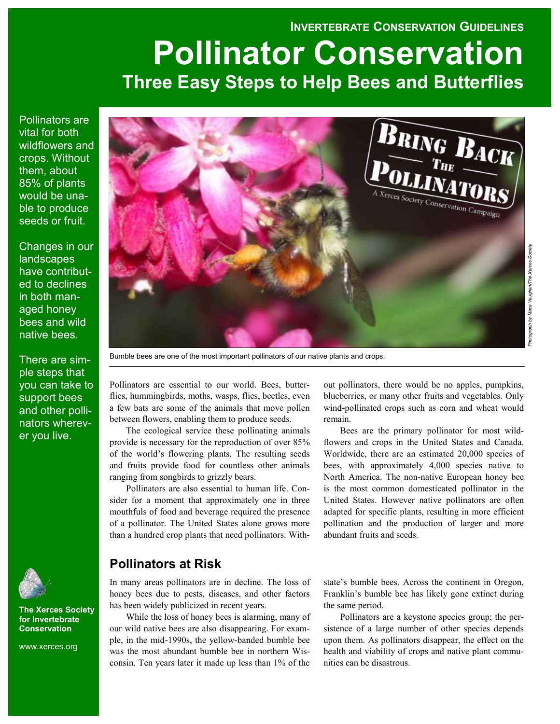## **INVERTEBRATE CONSERVATION GUIDELINES**

# **Pollinator Conservation Three Easy Steps to Help Bees and Butterflies**

Pollinators are vital for both wildflowers and crops. Without them, about 85% of plants would be unable to produce seeds or fruit.

Changes in our landscapes have contributed to declines in both managed honey bees and wild native bees.

There are simple steps that you can take to support bees and other pollinators wherever you live.



**The Xerces Society for Invertebrate Conservation**

www.xerces.org



Bumble bees are one of the most important pollinators of our native plants and crops.

Pollinators are essential to our world. Bees, butterflies, hummingbirds, moths, wasps, flies, beetles, even a few bats are some of the animals that move pollen between flowers, enabling them to produce seeds.

The ecological service these pollinating animals provide is necessary for the reproduction of over 85% of the world's flowering plants. The resulting seeds and fruits provide food for countless other animals ranging from songbirds to grizzly bears.

Pollinators are also essential to human life. Consider for a moment that approximately one in three mouthfuls of food and beverage required the presence of a pollinator. The United States alone grows more than a hundred crop plants that need pollinators. With-

## **Pollinators at Risk**

In many areas pollinators are in decline. The loss of honey bees due to pests, diseases, and other factors has been widely publicized in recent years.

While the loss of honey bees is alarming, many of our wild native bees are also disappearing. For example, in the mid-1990s, the yellow-banded bumble bee was the most abundant bumble bee in northern Wisconsin. Ten years later it made up less than 1% of the out pollinators, there would be no apples, pumpkins, blueberries, or many other fruits and vegetables. Only wind-pollinated crops such as corn and wheat would remain.

Bees are the primary pollinator for most wildflowers and crops in the United States and Canada. Worldwide, there are an estimated 20,000 species of bees, with approximately 4,000 species native to North America. The non-native European honey bee is the most common domesticated pollinator in the United States. However native pollinators are often adapted for specific plants, resulting in more efficient pollination and the production of larger and more abundant fruits and seeds.

state's bumble bees. Across the continent in Oregon, Franklin's bumble bee has likely gone extinct during the same period.

Pollinators are a keystone species group; the persistence of a large number of other species depends upon them. As pollinators disappear, the effect on the health and viability of crops and native plant communities can be disastrous.